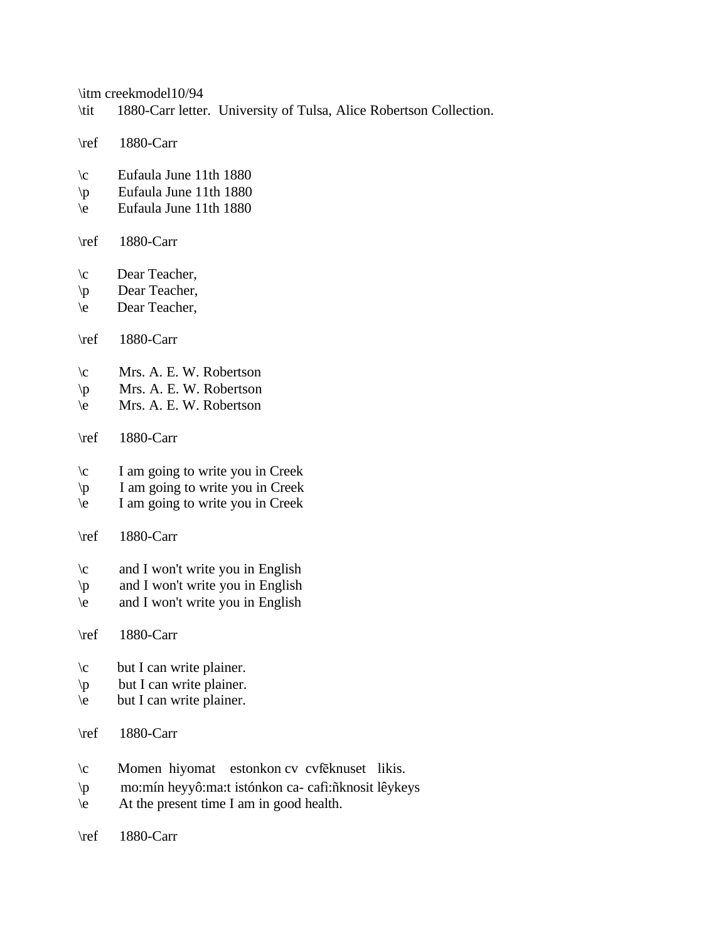\itm creekmodel10/94

- \tit 1880-Carr letter. University of Tulsa, Alice Robertson Collection.
- \ref 1880-Carr
- \c Eufaula June 11th 1880
- \p Eufaula June 11th 1880
- \e Eufaula June 11th 1880
- \ref 1880-Carr
- \c Dear Teacher,
- \p Dear Teacher,
- \e Dear Teacher,
- \ref 1880-Carr
- \c Mrs. A. E. W. Robertson
- \p Mrs. A. E. W. Robertson
- \e Mrs. A. E. W. Robertson
- \ref 1880-Carr
- \c I am going to write you in Creek
- $\downarrow p$  I am going to write you in Creek
- \e I am going to write you in Creek
- \ref 1880-Carr
- \c and I won't write you in English
- $\phi$  and I won't write you in English
- \e and I won't write you in English
- \ref 1880-Carr
- \c but I can write plainer.
- \p but I can write plainer.
- $\begin{cases}$  but I can write plainer.
- \ref 1880-Carr
- $\c$  Momen hiyomat estonkon cv cvfēknuset likis.
- \p mo:mín heyyô:ma:t istónkon ca- cafì:ñknosit lêykeys
- $\leq$  At the present time I am in good health.
- \ref 1880-Carr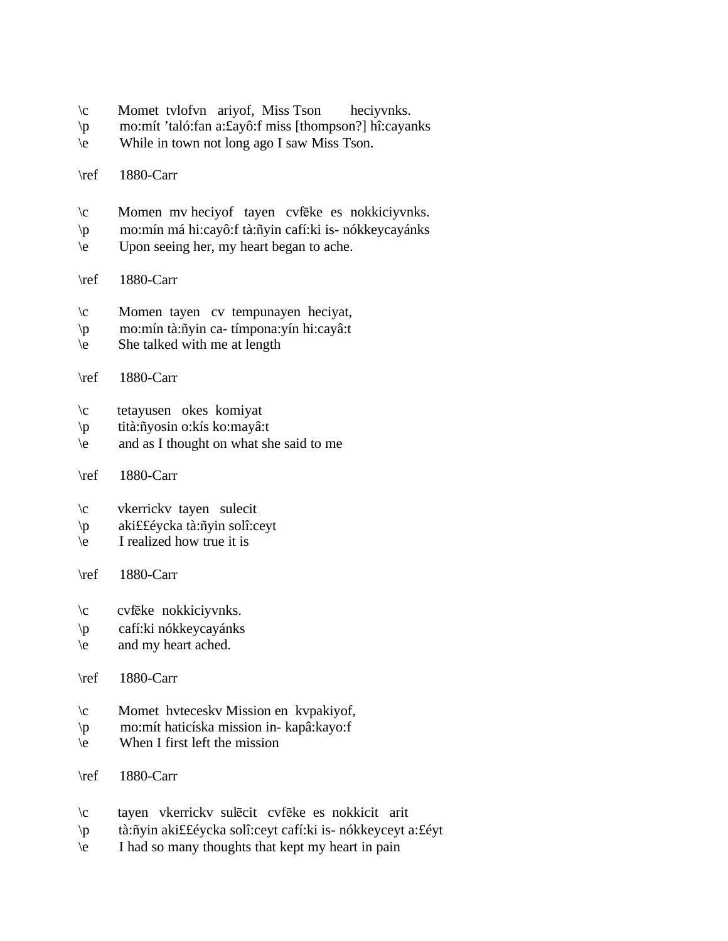- \c Momet tvlofvn ariyof, Miss Tson heciyvnks.
- \p mo:mít 'taló:fan a:£ayô:f miss [thompson?] hî:cayanks
- \e While in town not long ago I saw Miss Tson.
- \ref 1880-Carr
- $\c$  Momen mv heciyof tayen cvfēke es nokkiciyvnks.
- \p mo:mín má hi:cayô:f tà:ñyin cafí:ki is- nókkeycayánks
- \e Upon seeing her, my heart began to ache.
- \ref 1880-Carr
- \c Momen tayen cv tempunayen heciyat,
- \p mo:mín tà:ñyin ca- tímpona:yín hi:cayâ:t
- \e She talked with me at length
- \ref 1880-Carr
- \c tetayusen okes komiyat
- \p tità:ñyosin o:kís ko:mayâ:t
- \e and as I thought on what she said to me
- \ref 1880-Carr
- \c vkerrickv tayen sulecit
- \p aki££éycka tà:ñyin solî:ceyt
- $\leq$  I realized how true it is
- \ref 1880-Carr
- $\c$  cvfeke nokkiciyvnks.
- \p cafí:ki nókkeycayánks
- \e and my heart ached.
- \ref 1880-Carr
- \c Momet hvteceskv Mission en kvpakiyof,
- \p mo:mít haticíska mission in- kapâ:kayo:f
- \e When I first left the mission
- \ref 1880-Carr
- \c tayen vkerrickv sulecit cvfeke es nokkicit arit
- \p tà:ñyin aki££éycka solî:ceyt cafí:ki is- nókkeyceyt a:£éyt
- \e I had so many thoughts that kept my heart in pain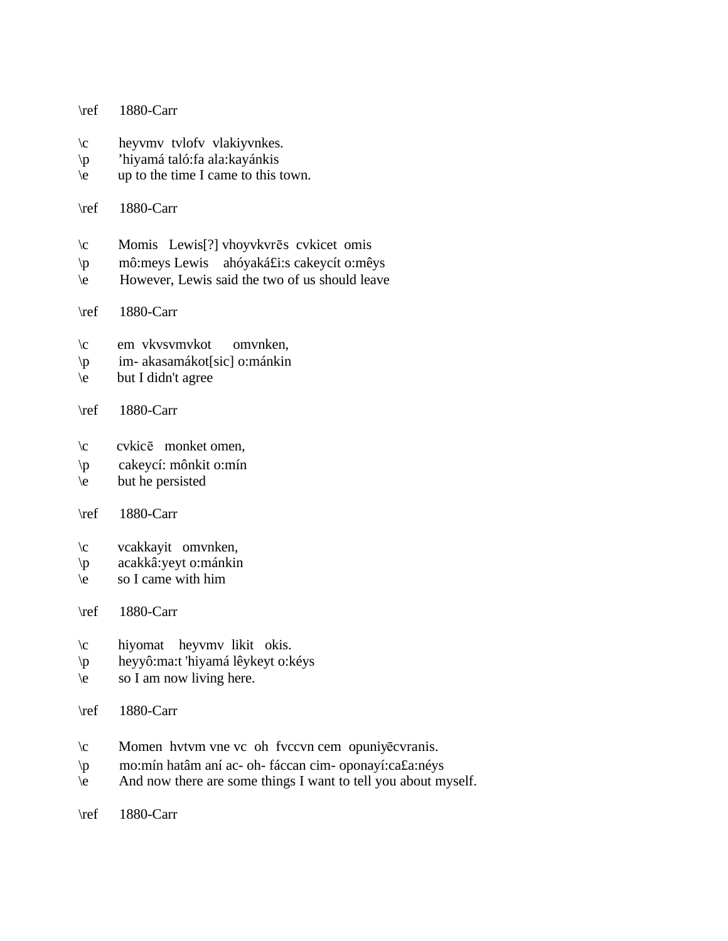- \ref 1880-Carr
- \c heyvmv tvlofv vlakiyvnkes.
- \p 'hiyamá taló:fa ala:kayánkis
- \e up to the time I came to this town.
- \ref 1880-Carr
- $\c$  Momis Lewis<sup>[?]</sup> vhoyvkvr $\bar{\text{e}}$  cvkicet omis
- \p mô:meys Lewis ahóyaká£i:s cakeycít o:mêys
- \e However, Lewis said the two of us should leave
- \ref 1880-Carr
- \c em vkvsvmvkot omvnken,
- \p im- akasamákot[sic] o:mánkin
- $\begin{cases}$  but I didn't agree
- \ref 1880-Carr
- $\c$  cvkic $\bar{e}$  monket omen,
- \p cakeycí: mônkit o:mín
- \e but he persisted
- \ref 1880-Carr
- \c vcakkayit omvnken,
- \p acakkâ:yeyt o:mánkin
- $\leq$  so I came with him
- \ref 1880-Carr
- \c hiyomat heyvmv likit okis.
- \p heyyô:ma:t 'hiyamá lêykeyt o:kéys
- $\begin{bmatrix} 1 & 1 \\ 2 & 3 \end{bmatrix}$  so I am now living here.
- \ref 1880-Carr
- $\c$  Momen hvtvm vne vc oh fvccvn cem opuniyē cvranis.
- \p mo:mín hatâm aní ac- oh- fáccan cim- oponayí:ca£a:néys
- \e And now there are some things I want to tell you about myself.
- \ref 1880-Carr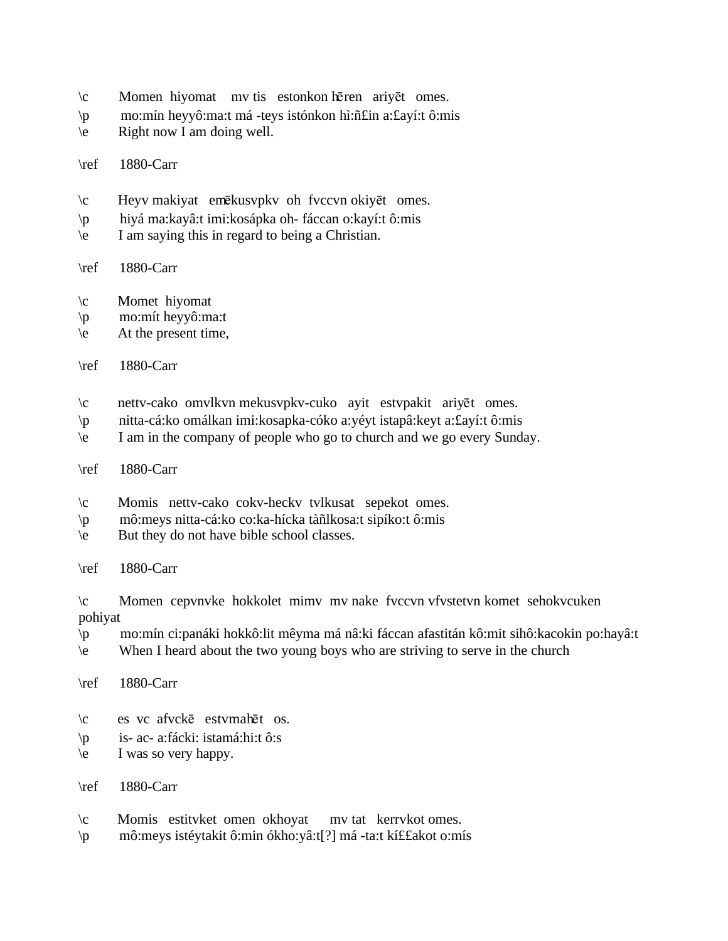- $\c$  Momen hiyomat mv tis estonkon hēren ariyēt omes.
- \p mo:mín heyyô:ma:t má -teys istónkon hì:ñ£in a:£ayí:t ô:mis
- $\leq$  Right now I am doing well.
- \ref 1880-Carr
- $\c$  Heyv makiyat emēkusvpkv oh fvccvn okiyēt omes.
- \p hiyá ma:kayâ:t imi:kosápka oh- fáccan o:kayí:t ô:mis
- \e I am saying this in regard to being a Christian.

## \ref 1880-Carr

- \c Momet hiyomat
- \p mo:mít heyyô:ma:t
- \e At the present time,
- \ref 1880-Carr
- \c nettv-cako omvlkvn mekusvpkv-cuko ayit estvpakit ariy¬t omes.
- \p nitta-cá:ko omálkan imi:kosapka-cóko a:yéyt istapâ:keyt a:£ayí:t ô:mis
- \e I am in the company of people who go to church and we go every Sunday.
- \ref 1880-Carr
- \c Momis nettv-cako cokv-heckv tvlkusat sepekot omes.
- \p mô:meys nitta-cá:ko co:ka-hícka tàñlkosa:t sipíko:t ô:mis
- \e But they do not have bible school classes.
- \ref 1880-Carr

\c Momen cepvnvke hokkolet mimv mv nake fvccvn vfvstetvn komet sehokvcuken pohiyat

- \p mo:mín ci:panáki hokkô:lit mêyma má nâ:ki fáccan afastitán kô:mit sihô:kacokin po:hayâ:t
- \e When I heard about the two young boys who are striving to serve in the church
- \ref 1880-Carr
- $\c$  es vc afvck $\bar{e}$  estvmahēt os.
- \p is- ac- a:fácki: istamá:hi:t ô:s
- $\leq$  I was so very happy.
- \ref 1880-Carr
- \c Momis estitvket omen okhoyat mv tat kerrvkot omes.
- \p mô:meys istéytakit ô:min ókho:yâ:t[?] má -ta:t kí££akot o:mís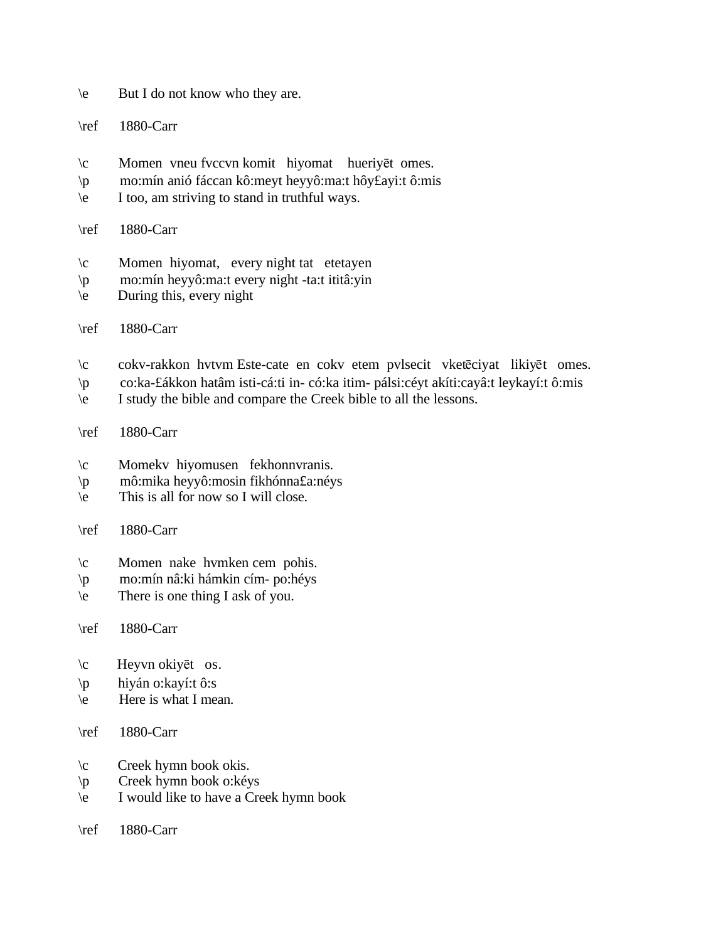- \e But I do not know who they are.
- \ref 1880-Carr
- $\c$  Momen vneu fvccvn komit hiyomat hueriyēt omes.
- \p mo:mín anió fáccan kô:meyt heyyô:ma:t hôy£ayi:t ô:mis
- \e I too, am striving to stand in truthful ways.
- \ref 1880-Carr
- \c Momen hiyomat, every night tat etetayen
- \p mo:mín heyyô:ma:t every night -ta:t ititâ:yin
- $\leq$  During this, every night
- \ref 1880-Carr
- \c cokv-rakkon hvtvm Este-cate en cokv etem pvlsecit vketēciyat likiyēt omes.
- \p co:ka-£ákkon hatâm isti-cá:ti in- có:ka itim- pálsi:céyt akíti:cayâ:t leykayí:t ô:mis
- \e I study the bible and compare the Creek bible to all the lessons.

## \ref 1880-Carr

- \c Momekv hiyomusen fekhonnvranis.
- \p mô:mika heyyô:mosin fikhónna£a:néys
- $\leq$  This is all for now so I will close.

## \ref 1880-Carr

- \c Momen nake hvmken cem pohis.
- \p mo:mín nâ:ki hámkin cím- po:héys
- \e There is one thing I ask of you.

# \ref 1880-Carr

- $\c$  Heyvn okiyēt os.
- \p hiyán o:kayí:t ô:s
- \e Here is what I mean.

# \ref 1880-Carr

- \c Creek hymn book okis.
- \p Creek hymn book o:kéys
- \e I would like to have a Creek hymn book
- \ref 1880-Carr